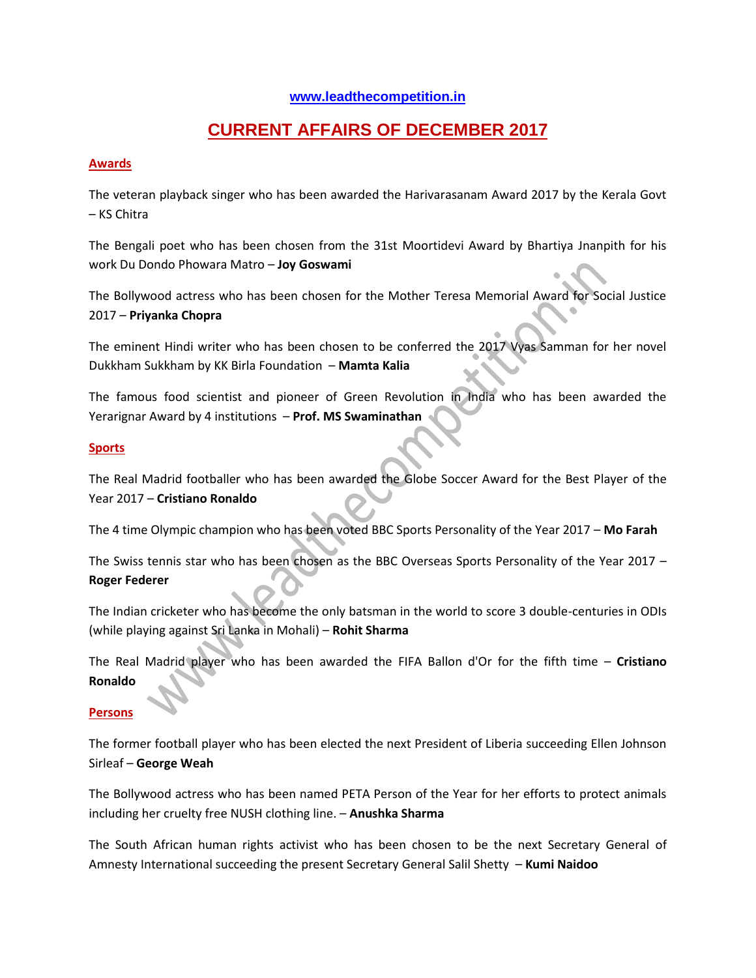### **[www.leadthecompetition.in](http://www.leadthecompetition.in/)**

# **CURRENT AFFAIRS OF DECEMBER 2017**

### **Awards**

The veteran playback singer who has been awarded the Harivarasanam Award 2017 by the Kerala Govt – KS Chitra

The Bengali poet who has been chosen from the 31st Moortidevi Award by Bhartiya Jnanpith for his work Du Dondo Phowara Matro – **Joy Goswami**

The Bollywood actress who has been chosen for the Mother Teresa Memorial Award for Social Justice 2017 – **Priyanka Chopra**

The eminent Hindi writer who has been chosen to be conferred the 2017 Vyas Samman for her novel Dukkham Sukkham by KK Birla Foundation – **Mamta Kalia**

The famous food scientist and pioneer of Green Revolution in India who has been awarded the Yerarignar Award by 4 institutions – **Prof. MS Swaminathan**

#### **Sports**

The Real Madrid footballer who has been awarded the Globe Soccer Award for the Best Player of the Year 2017 – **Cristiano Ronaldo**

The 4 time Olympic champion who has been voted BBC Sports Personality of the Year 2017 – **Mo Farah**

The Swiss tennis star who has been chosen as the BBC Overseas Sports Personality of the Year 2017 – **Roger Federer**

The Indian cricketer who has become the only batsman in the world to score 3 double-centuries in ODIs (while playing against Sri Lanka in Mohali) – **Rohit Sharma**

The Real Madrid player who has been awarded the FIFA Ballon d'Or for the fifth time – **Cristiano Ronaldo**

### **Persons**

The former football player who has been elected the next President of Liberia succeeding Ellen Johnson Sirleaf – **George Weah**

The Bollywood actress who has been named PETA Person of the Year for her efforts to protect animals including her cruelty free NUSH clothing line. – **Anushka Sharma**

The South African human rights activist who has been chosen to be the next Secretary General of Amnesty International succeeding the present Secretary General Salil Shetty – **Kumi Naidoo**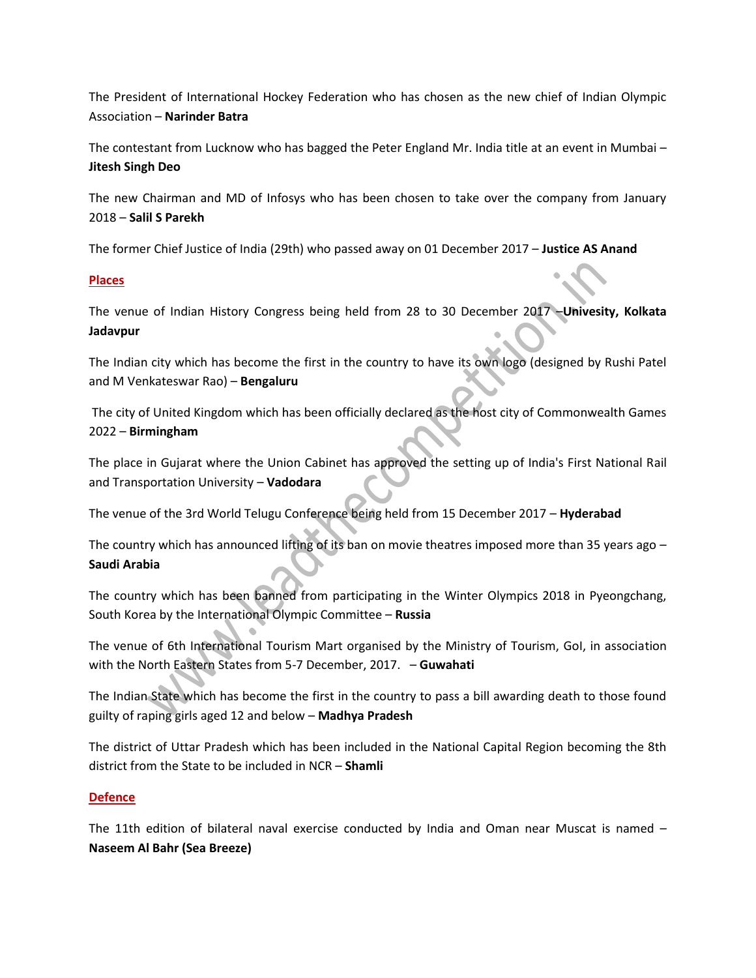The President of International Hockey Federation who has chosen as the new chief of Indian Olympic Association – **Narinder Batra**

The contestant from Lucknow who has bagged the Peter England Mr. India title at an event in Mumbai – **Jitesh Singh Deo**

The new Chairman and MD of Infosys who has been chosen to take over the company from January 2018 – **Salil S Parekh**

The former Chief Justice of India (29th) who passed away on 01 December 2017 – **Justice AS Anand**

### **Places**

The venue of Indian History Congress being held from 28 to 30 December 2017 –**Univesity, Kolkata Jadavpur**

The Indian city which has become the first in the country to have its own logo (designed by Rushi Patel and M Venkateswar Rao) – **Bengaluru**

The city of United Kingdom which has been officially declared as the host city of Commonwealth Games 2022 – **Birmingham**

The place in Gujarat where the Union Cabinet has approved the setting up of India's First National Rail and Transportation University – **Vadodara**

The venue of the 3rd World Telugu Conference being held from 15 December 2017 – **Hyderabad**

The country which has announced lifting of its ban on movie theatres imposed more than 35 years ago – **Saudi Arabia**

The country which has been banned from participating in the Winter Olympics 2018 in Pyeongchang, South Korea by the International Olympic Committee – **Russia**

The venue of 6th International Tourism Mart organised by the Ministry of Tourism, GoI, in association with the North Eastern States from 5-7 December, 2017. – **Guwahati** 

The Indian State which has become the first in the country to pass a bill awarding death to those found guilty of raping girls aged 12 and below – **Madhya Pradesh**

The district of Uttar Pradesh which has been included in the National Capital Region becoming the 8th district from the State to be included in NCR – **Shamli** 

# **Defence**

The 11th edition of bilateral naval exercise conducted by India and Oman near Muscat is named – **Naseem Al Bahr (Sea Breeze)**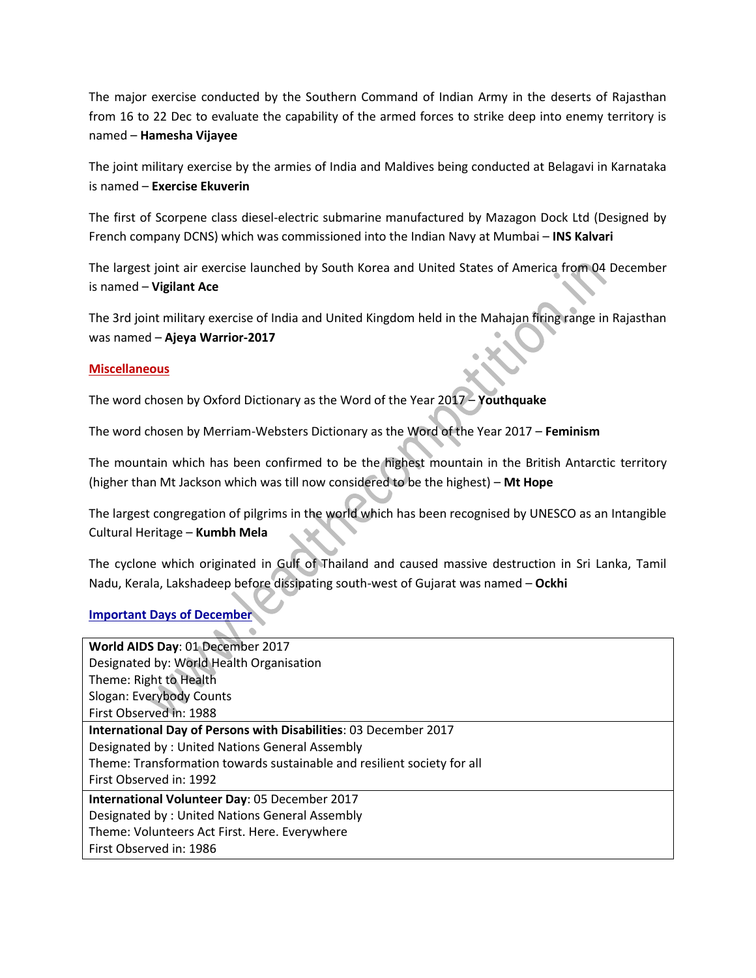The major exercise conducted by the Southern Command of Indian Army in the deserts of Rajasthan from 16 to 22 Dec to evaluate the capability of the armed forces to strike deep into enemy territory is named – **Hamesha Vijayee**

The joint military exercise by the armies of India and Maldives being conducted at Belagavi in Karnataka is named – **Exercise Ekuverin**

The first of Scorpene class diesel-electric submarine manufactured by Mazagon Dock Ltd (Designed by French company DCNS) which was commissioned into the Indian Navy at Mumbai – **INS Kalvari**

The largest joint air exercise launched by South Korea and United States of America from 04 December is named – **Vigilant Ace**

The 3rd joint military exercise of India and United Kingdom held in the Mahajan firing range in Rajasthan was named – **Ajeya Warrior-2017**

### **Miscellaneous**

The word chosen by Oxford Dictionary as the Word of the Year 2017 – **Youthquake**

The word chosen by Merriam-Websters Dictionary as the Word of the Year 2017 – **Feminism**

The mountain which has been confirmed to be the highest mountain in the British Antarctic territory (higher than Mt Jackson which was till now considered to be the highest) – **Mt Hope**

The largest congregation of pilgrims in the world which has been recognised by UNESCO as an Intangible Cultural Heritage – **Kumbh Mela**

The cyclone which originated in Gulf of Thailand and caused massive destruction in Sri Lanka, Tamil Nadu, Kerala, Lakshadeep before dissipating south-west of Gujarat was named – **Ockhi**

### **Important Days of December**

| World AIDS Day: 01 December 2017                                        |
|-------------------------------------------------------------------------|
| Designated by: World Health Organisation                                |
| Theme: Right to Health                                                  |
| Slogan: Everybody Counts                                                |
| First Observed in: 1988                                                 |
| International Day of Persons with Disabilities: 03 December 2017        |
| Designated by: United Nations General Assembly                          |
| Theme: Transformation towards sustainable and resilient society for all |
| First Observed in: 1992                                                 |
| International Volunteer Day: 05 December 2017                           |
| Designated by: United Nations General Assembly                          |
| Theme: Volunteers Act First. Here. Everywhere                           |
| First Observed in: 1986                                                 |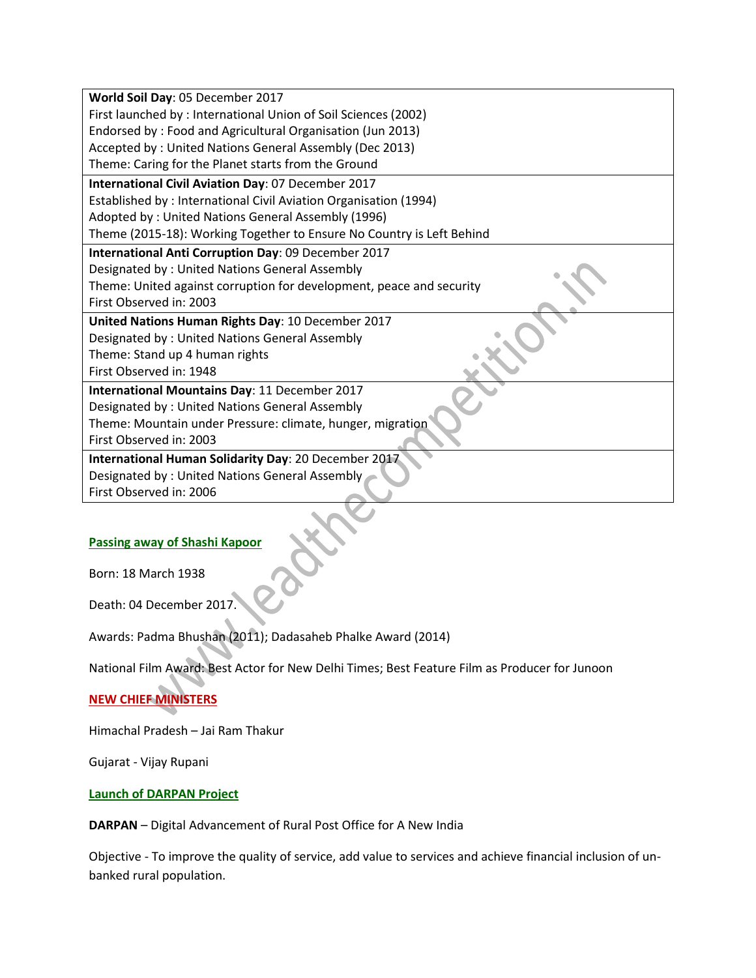| World Soil Day: 05 December 2017                                      |  |  |  |
|-----------------------------------------------------------------------|--|--|--|
| First launched by: International Union of Soil Sciences (2002)        |  |  |  |
| Endorsed by: Food and Agricultural Organisation (Jun 2013)            |  |  |  |
| Accepted by: United Nations General Assembly (Dec 2013)               |  |  |  |
| Theme: Caring for the Planet starts from the Ground                   |  |  |  |
| International Civil Aviation Day: 07 December 2017                    |  |  |  |
| Established by: International Civil Aviation Organisation (1994)      |  |  |  |
| Adopted by: United Nations General Assembly (1996)                    |  |  |  |
| Theme (2015-18): Working Together to Ensure No Country is Left Behind |  |  |  |
| International Anti Corruption Day: 09 December 2017                   |  |  |  |
| Designated by: United Nations General Assembly                        |  |  |  |
| Theme: United against corruption for development, peace and security  |  |  |  |
| First Observed in: 2003                                               |  |  |  |
| United Nations Human Rights Day: 10 December 2017                     |  |  |  |
| Designated by: United Nations General Assembly                        |  |  |  |
| Theme: Stand up 4 human rights                                        |  |  |  |
| First Observed in: 1948                                               |  |  |  |
| International Mountains Day: 11 December 2017                         |  |  |  |
| Designated by: United Nations General Assembly                        |  |  |  |
| Theme: Mountain under Pressure: climate, hunger, migration            |  |  |  |
| First Observed in: 2003                                               |  |  |  |
| International Human Solidarity Day: 20 December 2017                  |  |  |  |
| Designated by: United Nations General Assembly                        |  |  |  |
| First Observed in: 2006                                               |  |  |  |
|                                                                       |  |  |  |

# **Passing away of Shashi Kapoor**

Born: 18 March 1938

Death: 04 December 2017.

Awards: Padma Bhushan (2011); Dadasaheb Phalke Award (2014)

National Film Award: Best Actor for New Delhi Times; Best Feature Film as Producer for Junoon

 $\ddot{ }$ 

## **NEW CHIEF MINISTERS**

Himachal Pradesh – Jai Ram Thakur

Gujarat - Vijay Rupani

### **Launch of DARPAN Project**

**DARPAN** – Digital Advancement of Rural Post Office for A New India

Objective - To improve the quality of service, add value to services and achieve financial inclusion of unbanked rural population.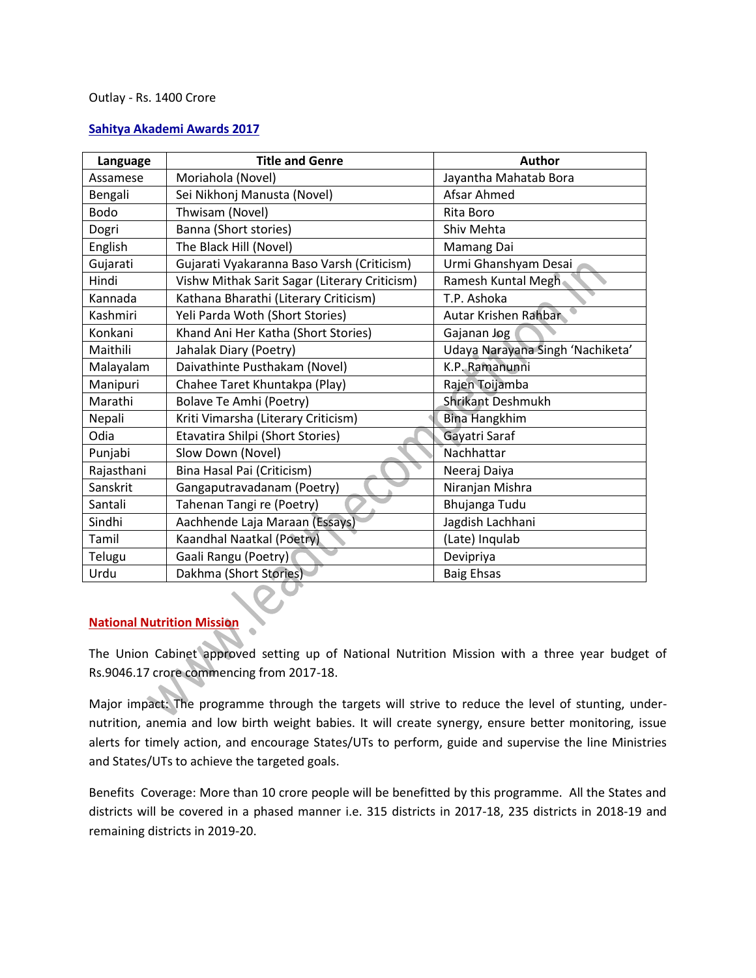### Outlay - Rs. 1400 Crore

### **Sahitya Akademi Awards 2017**

| Language    | <b>Title and Genre</b>                        | <b>Author</b>                    |
|-------------|-----------------------------------------------|----------------------------------|
| Assamese    | Moriahola (Novel)                             | Jayantha Mahatab Bora            |
| Bengali     | Sei Nikhonj Manusta (Novel)                   | Afsar Ahmed                      |
| <b>Bodo</b> | Thwisam (Novel)                               | Rita Boro                        |
| Dogri       | Banna (Short stories)                         | Shiv Mehta                       |
| English     | The Black Hill (Novel)                        | Mamang Dai                       |
| Gujarati    | Gujarati Vyakaranna Baso Varsh (Criticism)    | Urmi Ghanshyam Desai             |
| Hindi       | Vishw Mithak Sarit Sagar (Literary Criticism) | Ramesh Kuntal Megh               |
| Kannada     | Kathana Bharathi (Literary Criticism)         | T.P. Ashoka                      |
| Kashmiri    | Yeli Parda Woth (Short Stories)               | Autar Krishen Rahbar             |
| Konkani     | Khand Ani Her Katha (Short Stories)           | Gajanan Jog                      |
| Maithili    | Jahalak Diary (Poetry)                        | Udaya Narayana Singh 'Nachiketa' |
| Malayalam   | Daivathinte Pusthakam (Novel)                 | K.P. Ramanunni                   |
| Manipuri    | Chahee Taret Khuntakpa (Play)                 | Rajen Toijamba                   |
| Marathi     | Bolave Te Amhi (Poetry)                       | <b>Shrikant Deshmukh</b>         |
| Nepali      | Kriti Vimarsha (Literary Criticism)           | <b>Bina Hangkhim</b>             |
| Odia        | Etavatira Shilpi (Short Stories)              | Gayatri Saraf                    |
| Punjabi     | Slow Down (Novel)                             | Nachhattar                       |
| Rajasthani  | Bina Hasal Pai (Criticism)                    | Neeraj Daiya                     |
| Sanskrit    | Gangaputravadanam (Poetry)                    | Niranjan Mishra                  |
| Santali     | Tahenan Tangi re (Poetry)                     | Bhujanga Tudu                    |
| Sindhi      | Aachhende Laja Maraan (Essays)                | Jagdish Lachhani                 |
| Tamil       | Kaandhal Naatkal (Poetry)                     | (Late) Inqulab                   |
| Telugu      | Gaali Rangu (Poetry)                          | Devipriya                        |
| Urdu        | Dakhma (Short Stories)                        | <b>Baig Ehsas</b>                |

### **National Nutrition Mission**

The Union Cabinet approved setting up of National Nutrition Mission with a three year budget of Rs.9046.17 crore commencing from 2017-18.

Major impact: The programme through the targets will strive to reduce the level of stunting, undernutrition, anemia and low birth weight babies. It will create synergy, ensure better monitoring, issue alerts for timely action, and encourage States/UTs to perform, guide and supervise the line Ministries and States/UTs to achieve the targeted goals.

Benefits Coverage: More than 10 crore people will be benefitted by this programme. All the States and districts will be covered in a phased manner i.e. 315 districts in 2017-18, 235 districts in 2018-19 and remaining districts in 2019-20.